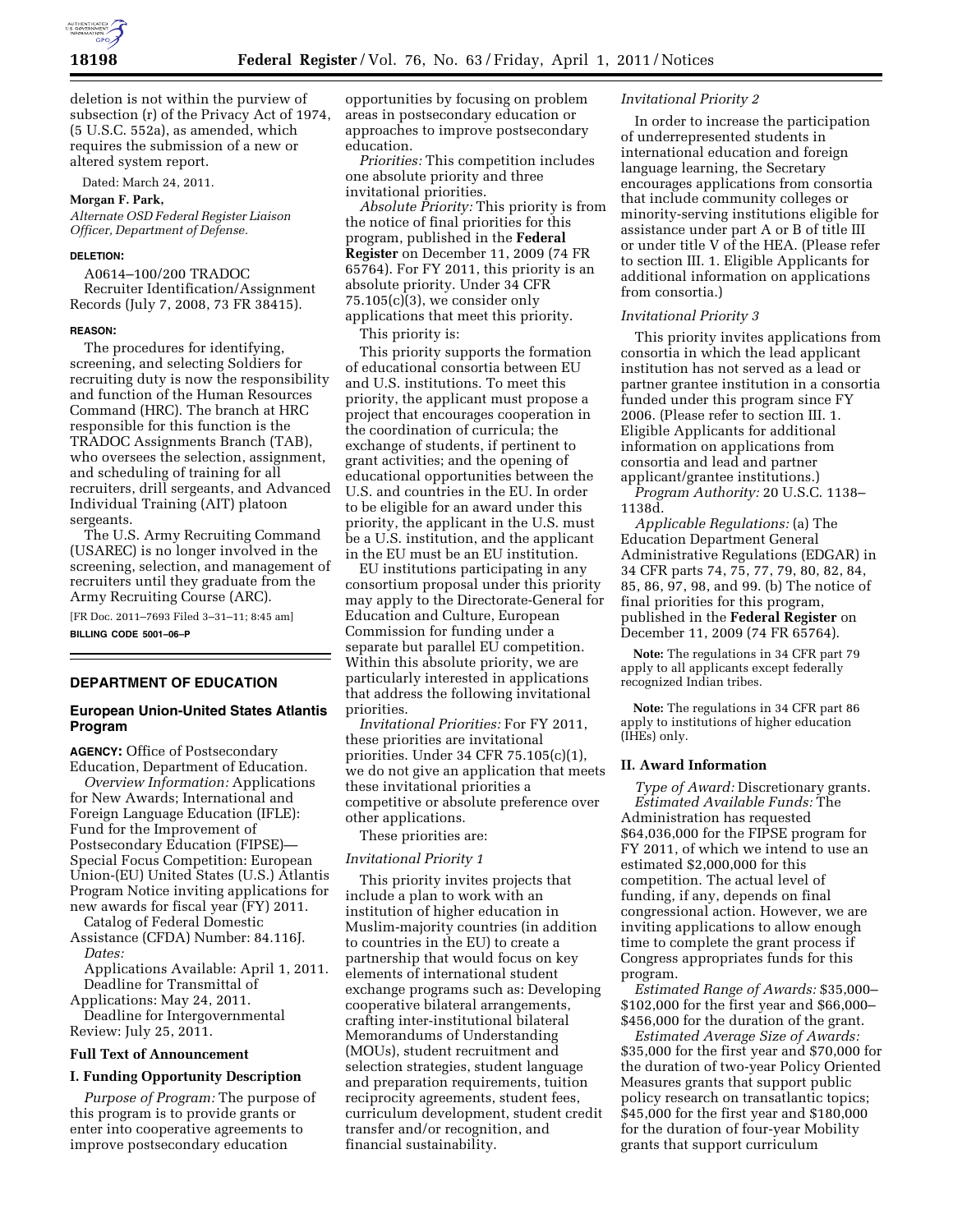

deletion is not within the purview of subsection (r) of the Privacy Act of 1974, (5 U.S.C. 552a), as amended, which requires the submission of a new or altered system report.

Dated: March 24, 2011.

# **Morgan F. Park,**

*Alternate OSD Federal Register Liaison Officer, Department of Defense.* 

#### **DELETION:**

A0614–100/200 TRADOC Recruiter Identification/Assignment Records (July 7, 2008, 73 FR 38415).

#### **REASON:**

The procedures for identifying, screening, and selecting Soldiers for recruiting duty is now the responsibility and function of the Human Resources Command (HRC). The branch at HRC responsible for this function is the TRADOC Assignments Branch (TAB), who oversees the selection, assignment, and scheduling of training for all recruiters, drill sergeants, and Advanced Individual Training (AIT) platoon sergeants.

The U.S. Army Recruiting Command (USAREC) is no longer involved in the screening, selection, and management of recruiters until they graduate from the Army Recruiting Course (ARC).

[FR Doc. 2011–7693 Filed 3–31–11; 8:45 am] **BILLING CODE 5001–06–P** 

### **DEPARTMENT OF EDUCATION**

### **European Union-United States Atlantis Program**

**AGENCY:** Office of Postsecondary Education, Department of Education.

*Overview Information:* Applications for New Awards; International and Foreign Language Education (IFLE): Fund for the Improvement of Postsecondary Education (FIPSE)— Special Focus Competition: European Union-(EU) United States (U.S.) Atlantis Program Notice inviting applications for new awards for fiscal year (FY) 2011.

Catalog of Federal Domestic Assistance (CFDA) Number: 84.116J. *Dates:* 

Applications Available: April 1, 2011. Deadline for Transmittal of

Applications: May 24, 2011. Deadline for Intergovernmental

Review: July 25, 2011.

# **Full Text of Announcement**

#### **I. Funding Opportunity Description**

*Purpose of Program:* The purpose of this program is to provide grants or enter into cooperative agreements to improve postsecondary education

opportunities by focusing on problem areas in postsecondary education or approaches to improve postsecondary education.

*Priorities:* This competition includes one absolute priority and three invitational priorities.

*Absolute Priority:* This priority is from the notice of final priorities for this program, published in the **Federal Register** on December 11, 2009 (74 FR 65764). For FY 2011, this priority is an absolute priority. Under 34 CFR 75.105(c)(3), we consider only applications that meet this priority.

This priority is:

This priority supports the formation of educational consortia between EU and U.S. institutions. To meet this priority, the applicant must propose a project that encourages cooperation in the coordination of curricula; the exchange of students, if pertinent to grant activities; and the opening of educational opportunities between the U.S. and countries in the EU. In order to be eligible for an award under this priority, the applicant in the U.S. must be a U.S. institution, and the applicant in the EU must be an EU institution.

EU institutions participating in any consortium proposal under this priority may apply to the Directorate-General for Education and Culture, European Commission for funding under a separate but parallel EU competition. Within this absolute priority, we are particularly interested in applications that address the following invitational priorities.

*Invitational Priorities:* For FY 2011, these priorities are invitational priorities. Under 34 CFR 75.105(c)(1), we do not give an application that meets these invitational priorities a competitive or absolute preference over other applications.

These priorities are:

#### *Invitational Priority 1*

This priority invites projects that include a plan to work with an institution of higher education in Muslim-majority countries (in addition to countries in the EU) to create a partnership that would focus on key elements of international student exchange programs such as: Developing cooperative bilateral arrangements, crafting inter-institutional bilateral Memorandums of Understanding (MOUs), student recruitment and selection strategies, student language and preparation requirements, tuition reciprocity agreements, student fees, curriculum development, student credit transfer and/or recognition, and financial sustainability.

#### *Invitational Priority 2*

In order to increase the participation of underrepresented students in international education and foreign language learning, the Secretary encourages applications from consortia that include community colleges or minority-serving institutions eligible for assistance under part A or B of title III or under title V of the HEA. (Please refer to section III. 1. Eligible Applicants for additional information on applications from consortia.)

#### *Invitational Priority 3*

This priority invites applications from consortia in which the lead applicant institution has not served as a lead or partner grantee institution in a consortia funded under this program since FY 2006. (Please refer to section III. 1. Eligible Applicants for additional information on applications from consortia and lead and partner applicant/grantee institutions.)

*Program Authority:* 20 U.S.C. 1138– 1138d.

*Applicable Regulations:* (a) The Education Department General Administrative Regulations (EDGAR) in 34 CFR parts 74, 75, 77, 79, 80, 82, 84, 85, 86, 97, 98, and 99. (b) The notice of final priorities for this program, published in the **Federal Register** on December 11, 2009 (74 FR 65764).

**Note:** The regulations in 34 CFR part 79 apply to all applicants except federally recognized Indian tribes.

**Note:** The regulations in 34 CFR part 86 apply to institutions of higher education (IHEs) only.

#### **II. Award Information**

*Type of Award:* Discretionary grants. *Estimated Available Funds:* The Administration has requested \$64,036,000 for the FIPSE program for FY 2011, of which we intend to use an estimated \$2,000,000 for this competition. The actual level of funding, if any, depends on final congressional action. However, we are inviting applications to allow enough time to complete the grant process if Congress appropriates funds for this program.

*Estimated Range of Awards:* \$35,000– \$102,000 for the first year and \$66,000– \$456,000 for the duration of the grant.

*Estimated Average Size of Awards:*  \$35,000 for the first year and \$70,000 for the duration of two-year Policy Oriented Measures grants that support public policy research on transatlantic topics; \$45,000 for the first year and \$180,000 for the duration of four-year Mobility grants that support curriculum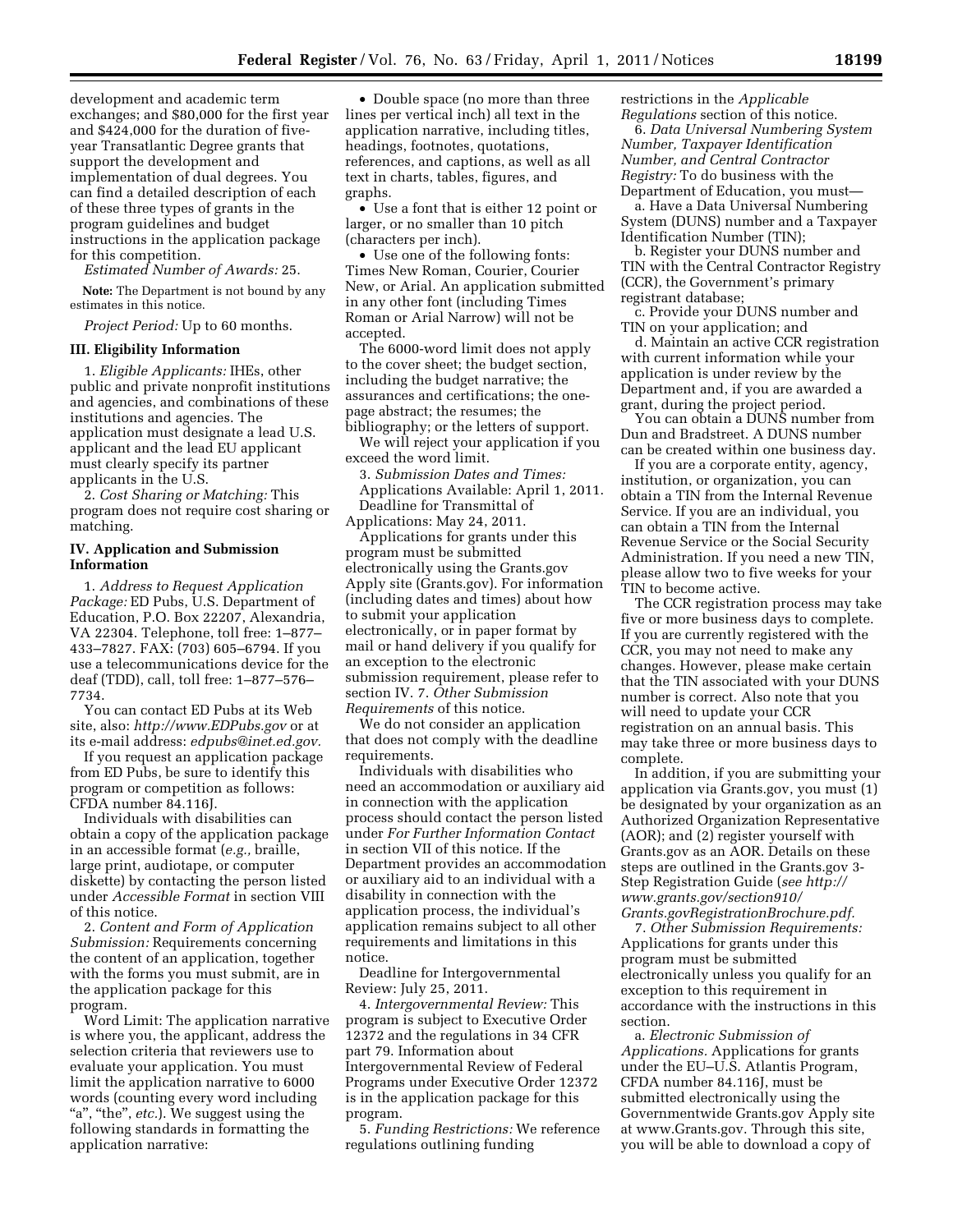development and academic term exchanges; and \$80,000 for the first year and \$424,000 for the duration of fiveyear Transatlantic Degree grants that support the development and implementation of dual degrees. You can find a detailed description of each of these three types of grants in the program guidelines and budget instructions in the application package for this competition.

*Estimated Number of Awards:* 25.

**Note:** The Department is not bound by any estimates in this notice.

*Project Period:* Up to 60 months.

### **III. Eligibility Information**

1. *Eligible Applicants:* IHEs, other public and private nonprofit institutions and agencies, and combinations of these institutions and agencies. The application must designate a lead U.S. applicant and the lead EU applicant must clearly specify its partner applicants in the U.S.

2. *Cost Sharing or Matching:* This program does not require cost sharing or matching.

#### **IV. Application and Submission Information**

1. *Address to Request Application Package:* ED Pubs, U.S. Department of Education, P.O. Box 22207, Alexandria, VA 22304. Telephone, toll free: 1–877– 433–7827. FAX: (703) 605–6794. If you use a telecommunications device for the deaf (TDD), call, toll free: 1–877–576– 7734.

You can contact ED Pubs at its Web site, also: *<http://www.EDPubs.gov>* or at its e-mail address: *[edpubs@inet.ed.gov.](mailto:edpubs@inet.ed.gov)* 

If you request an application package from ED Pubs, be sure to identify this program or competition as follows: CFDA number 84.116J.

Individuals with disabilities can obtain a copy of the application package in an accessible format (*e.g.,* braille, large print, audiotape, or computer diskette) by contacting the person listed under *Accessible Format* in section VIII of this notice.

2. *Content and Form of Application Submission:* Requirements concerning the content of an application, together with the forms you must submit, are in the application package for this program.

Word Limit: The application narrative is where you, the applicant, address the selection criteria that reviewers use to evaluate your application. You must limit the application narrative to 6000 words (counting every word including "a", "the", *etc.*). We suggest using the following standards in formatting the application narrative:

• Double space (no more than three lines per vertical inch) all text in the application narrative, including titles, headings, footnotes, quotations, references, and captions, as well as all text in charts, tables, figures, and graphs.

• Use a font that is either 12 point or larger, or no smaller than 10 pitch (characters per inch).

• Use one of the following fonts: Times New Roman, Courier, Courier New, or Arial. An application submitted in any other font (including Times Roman or Arial Narrow) will not be accepted.

The 6000-word limit does not apply to the cover sheet; the budget section, including the budget narrative; the assurances and certifications; the onepage abstract; the resumes; the bibliography; or the letters of support.

We will reject your application if you exceed the word limit.

3. *Submission Dates and Times:*  Applications Available: April 1, 2011. Deadline for Transmittal of Applications: May 24, 2011.

Applications for grants under this program must be submitted electronically using the Grants.gov Apply site (Grants.gov). For information (including dates and times) about how to submit your application electronically, or in paper format by mail or hand delivery if you qualify for an exception to the electronic submission requirement, please refer to section IV. 7. *Other Submission Requirements* of this notice.

We do not consider an application that does not comply with the deadline requirements.

Individuals with disabilities who need an accommodation or auxiliary aid in connection with the application process should contact the person listed under *For Further Information Contact*  in section VII of this notice. If the Department provides an accommodation or auxiliary aid to an individual with a disability in connection with the application process, the individual's application remains subject to all other requirements and limitations in this notice.

Deadline for Intergovernmental Review: July 25, 2011.

4. *Intergovernmental Review:* This program is subject to Executive Order 12372 and the regulations in 34 CFR part 79. Information about Intergovernmental Review of Federal Programs under Executive Order 12372 is in the application package for this program.

5. *Funding Restrictions:* We reference regulations outlining funding

restrictions in the *Applicable Regulations* section of this notice.

6. *Data Universal Numbering System Number, Taxpayer Identification Number, and Central Contractor Registry:* To do business with the Department of Education, you must—

a. Have a Data Universal Numbering System (DUNS) number and a Taxpayer Identification Number (TIN);

b. Register your DUNS number and TIN with the Central Contractor Registry (CCR), the Government's primary registrant database;

c. Provide your DUNS number and TIN on your application; and

d. Maintain an active CCR registration with current information while your application is under review by the Department and, if you are awarded a grant, during the project period.

You can obtain a DUNS number from Dun and Bradstreet. A DUNS number can be created within one business day.

If you are a corporate entity, agency, institution, or organization, you can obtain a TIN from the Internal Revenue Service. If you are an individual, you can obtain a TIN from the Internal Revenue Service or the Social Security Administration. If you need a new TIN, please allow two to five weeks for your TIN to become active.

The CCR registration process may take five or more business days to complete. If you are currently registered with the CCR, you may not need to make any changes. However, please make certain that the TIN associated with your DUNS number is correct. Also note that you will need to update your CCR registration on an annual basis. This may take three or more business days to complete.

In addition, if you are submitting your application via Grants.gov, you must (1) be designated by your organization as an Authorized Organization Representative (AOR); and (2) register yourself with Grants.gov as an AOR. Details on these steps are outlined in the Grants.gov 3- Step Registration Guide (*see [http://](http://www.grants.gov/section910/Grants.govRegistrationBrochure.pdf) [www.grants.gov/section910/](http://www.grants.gov/section910/Grants.govRegistrationBrochure.pdf)  [Grants.govRegistrationBrochure.pdf.](http://www.grants.gov/section910/Grants.govRegistrationBrochure.pdf)* 

7. *Other Submission Requirements:*  Applications for grants under this program must be submitted electronically unless you qualify for an exception to this requirement in accordance with the instructions in this section.

a. *Electronic Submission of Applications.* Applications for grants under the EU–U.S. Atlantis Program, CFDA number 84.116J, must be submitted electronically using the Governmentwide Grants.gov Apply site at [www.Grants.gov.](http://www.Grants.gov) Through this site, you will be able to download a copy of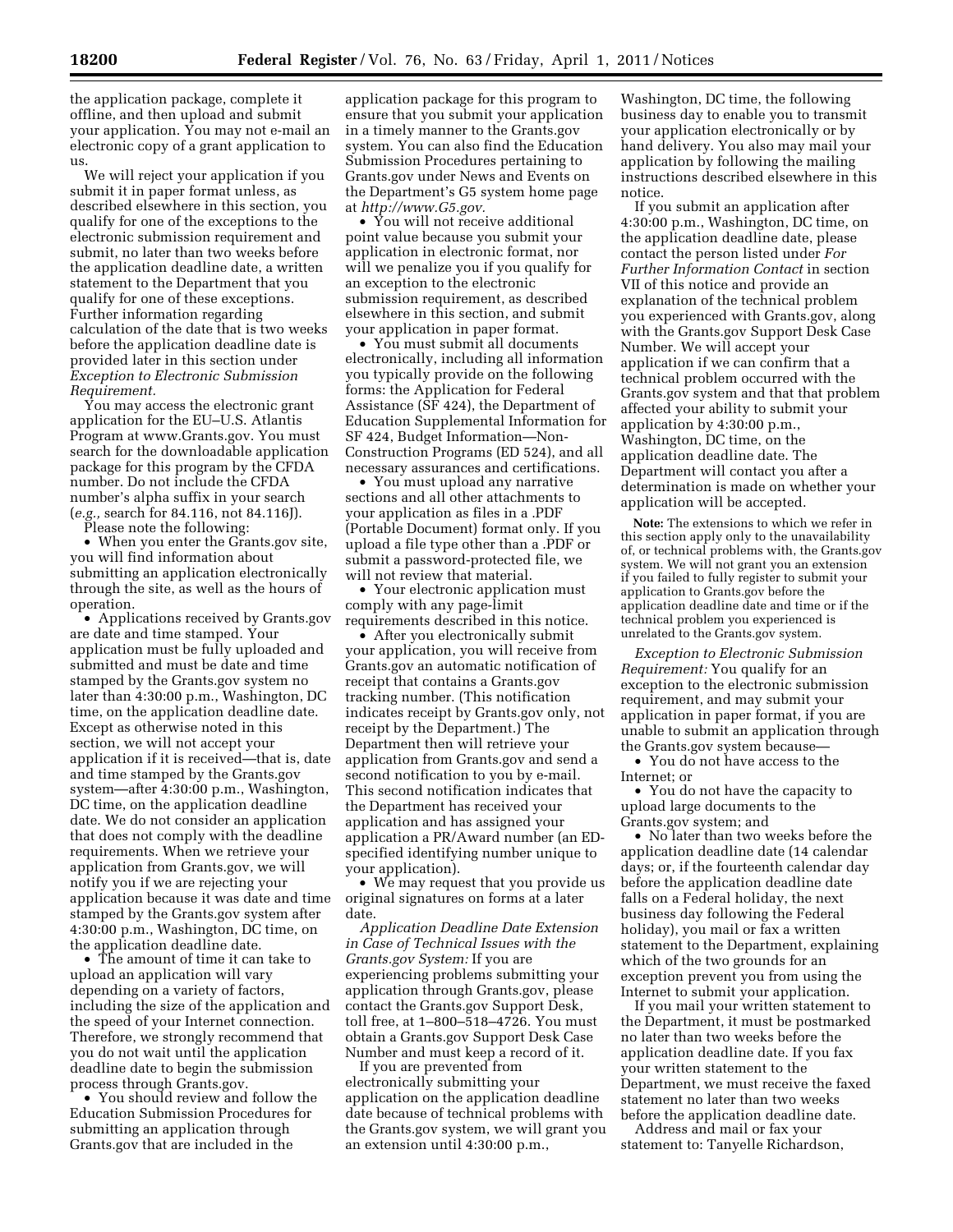the application package, complete it offline, and then upload and submit your application. You may not e-mail an electronic copy of a grant application to us.

We will reject your application if you submit it in paper format unless, as described elsewhere in this section, you qualify for one of the exceptions to the electronic submission requirement and submit, no later than two weeks before the application deadline date, a written statement to the Department that you qualify for one of these exceptions. Further information regarding calculation of the date that is two weeks before the application deadline date is provided later in this section under *Exception to Electronic Submission Requirement.* 

You may access the electronic grant application for the EU–U.S. Atlantis Program at [www.Grants.gov.](http://www.Grants.gov) You must search for the downloadable application package for this program by the CFDA number. Do not include the CFDA number's alpha suffix in your search (*e.g.,* search for 84.116, not 84.116J).

Please note the following:

• When you enter the Grants.gov site, you will find information about submitting an application electronically through the site, as well as the hours of operation.

• Applications received by Grants.gov are date and time stamped. Your application must be fully uploaded and submitted and must be date and time stamped by the Grants.gov system no later than 4:30:00 p.m., Washington, DC time, on the application deadline date. Except as otherwise noted in this section, we will not accept your application if it is received—that is, date and time stamped by the Grants.gov system—after 4:30:00 p.m., Washington, DC time, on the application deadline date. We do not consider an application that does not comply with the deadline requirements. When we retrieve your application from Grants.gov, we will notify you if we are rejecting your application because it was date and time stamped by the Grants.gov system after 4:30:00 p.m., Washington, DC time, on the application deadline date.

• The amount of time it can take to upload an application will vary depending on a variety of factors, including the size of the application and the speed of your Internet connection. Therefore, we strongly recommend that you do not wait until the application deadline date to begin the submission process through Grants.gov.

• You should review and follow the Education Submission Procedures for submitting an application through Grants.gov that are included in the

application package for this program to ensure that you submit your application in a timely manner to the Grants.gov system. You can also find the Education Submission Procedures pertaining to Grants.gov under News and Events on the Department's G5 system home page at *[http://www.G5.gov.](http://www.G5.gov)* 

• You will not receive additional point value because you submit your application in electronic format, nor will we penalize you if you qualify for an exception to the electronic submission requirement, as described elsewhere in this section, and submit your application in paper format.

• You must submit all documents electronically, including all information you typically provide on the following forms: the Application for Federal Assistance (SF 424), the Department of Education Supplemental Information for SF 424, Budget Information—Non-Construction Programs (ED 524), and all necessary assurances and certifications.

• You must upload any narrative sections and all other attachments to your application as files in a .PDF (Portable Document) format only. If you upload a file type other than a .PDF or submit a password-protected file, we will not review that material.

• Your electronic application must comply with any page-limit requirements described in this notice.

• After you electronically submit your application, you will receive from Grants.gov an automatic notification of receipt that contains a Grants.gov tracking number. (This notification indicates receipt by Grants.gov only, not receipt by the Department.) The Department then will retrieve your application from Grants.gov and send a second notification to you by e-mail. This second notification indicates that the Department has received your application and has assigned your application a PR/Award number (an EDspecified identifying number unique to your application).

• We may request that you provide us original signatures on forms at a later date.

*Application Deadline Date Extension in Case of Technical Issues with the Grants.gov System:* If you are experiencing problems submitting your application through Grants.gov, please contact the Grants.gov Support Desk, toll free, at 1–800–518–4726. You must obtain a Grants.gov Support Desk Case Number and must keep a record of it.

If you are prevented from electronically submitting your application on the application deadline date because of technical problems with the Grants.gov system, we will grant you an extension until 4:30:00 p.m.,

Washington, DC time, the following business day to enable you to transmit your application electronically or by hand delivery. You also may mail your application by following the mailing instructions described elsewhere in this notice.

If you submit an application after 4:30:00 p.m., Washington, DC time, on the application deadline date, please contact the person listed under *For Further Information Contact* in section VII of this notice and provide an explanation of the technical problem you experienced with Grants.gov, along with the Grants.gov Support Desk Case Number. We will accept your application if we can confirm that a technical problem occurred with the Grants.gov system and that that problem affected your ability to submit your application by 4:30:00 p.m., Washington, DC time, on the application deadline date. The Department will contact you after a determination is made on whether your application will be accepted.

**Note:** The extensions to which we refer in this section apply only to the unavailability of, or technical problems with, the Grants.gov system. We will not grant you an extension if you failed to fully register to submit your application to Grants.gov before the application deadline date and time or if the technical problem you experienced is unrelated to the Grants.gov system.

*Exception to Electronic Submission Requirement:* You qualify for an exception to the electronic submission requirement, and may submit your application in paper format, if you are unable to submit an application through the Grants.gov system because—

• You do not have access to the Internet; or

• You do not have the capacity to upload large documents to the Grants.gov system; and

• No later than two weeks before the application deadline date (14 calendar days; or, if the fourteenth calendar day before the application deadline date falls on a Federal holiday, the next business day following the Federal holiday), you mail or fax a written statement to the Department, explaining which of the two grounds for an exception prevent you from using the Internet to submit your application.

If you mail your written statement to the Department, it must be postmarked no later than two weeks before the application deadline date. If you fax your written statement to the Department, we must receive the faxed statement no later than two weeks before the application deadline date.

Address and mail or fax your statement to: Tanyelle Richardson,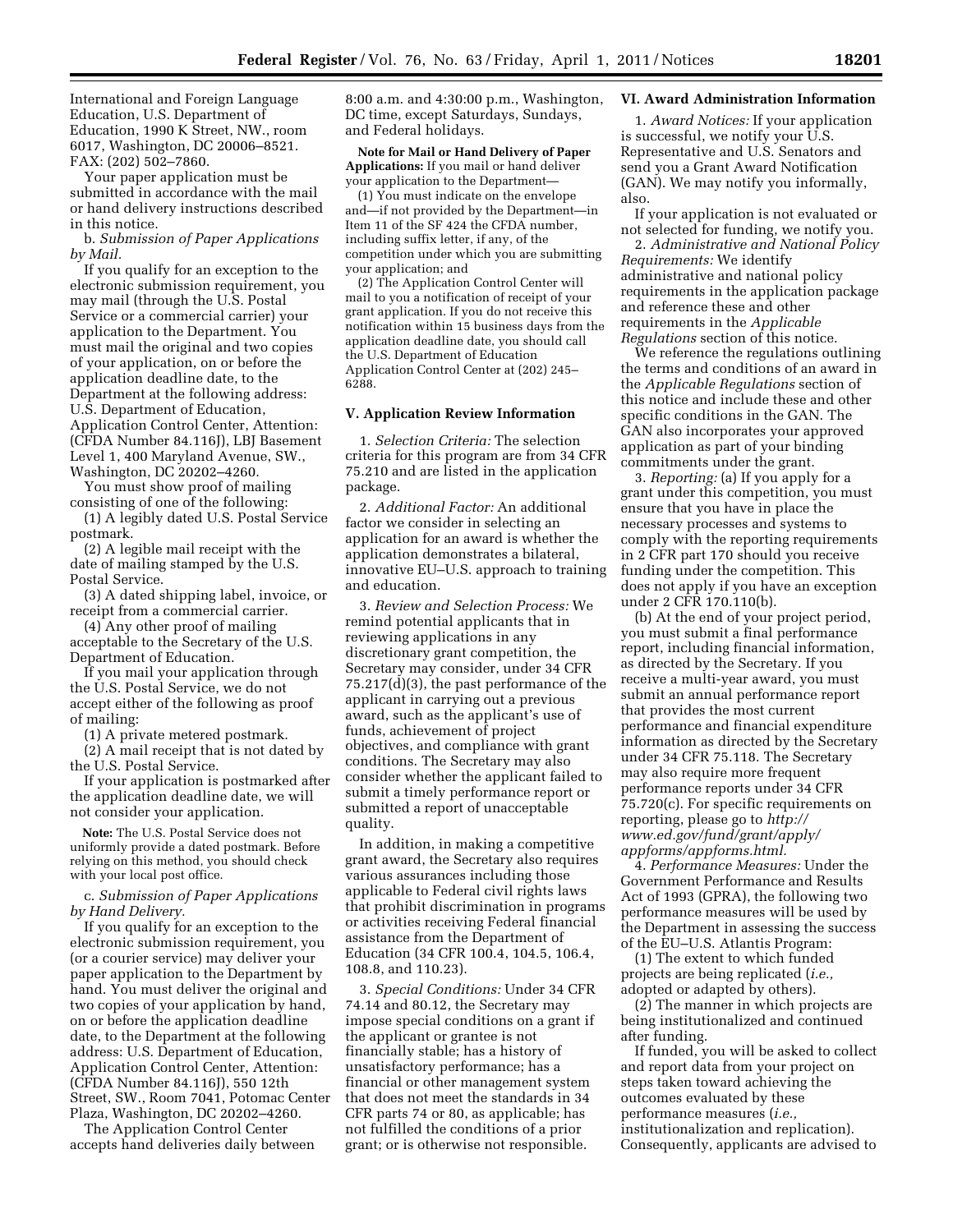International and Foreign Language Education, U.S. Department of Education, 1990 K Street, NW., room 6017, Washington, DC 20006–8521. FAX: (202) 502–7860.

Your paper application must be submitted in accordance with the mail or hand delivery instructions described in this notice.

b. *Submission of Paper Applications by Mail.* 

If you qualify for an exception to the electronic submission requirement, you may mail (through the U.S. Postal Service or a commercial carrier) your application to the Department. You must mail the original and two copies of your application, on or before the application deadline date, to the Department at the following address: U.S. Department of Education, Application Control Center, Attention: (CFDA Number 84.116J), LBJ Basement Level 1, 400 Maryland Avenue, SW., Washington, DC 20202–4260.

You must show proof of mailing consisting of one of the following:

(1) A legibly dated U.S. Postal Service postmark.

(2) A legible mail receipt with the date of mailing stamped by the U.S. Postal Service.

(3) A dated shipping label, invoice, or receipt from a commercial carrier.

(4) Any other proof of mailing acceptable to the Secretary of the U.S. Department of Education.

If you mail your application through the U.S. Postal Service, we do not accept either of the following as proof of mailing:

(1) A private metered postmark.

(2) A mail receipt that is not dated by the U.S. Postal Service.

If your application is postmarked after the application deadline date, we will not consider your application.

**Note:** The U.S. Postal Service does not uniformly provide a dated postmark. Before relying on this method, you should check with your local post office.

c. *Submission of Paper Applications by Hand Delivery.* 

If you qualify for an exception to the electronic submission requirement, you (or a courier service) may deliver your paper application to the Department by hand. You must deliver the original and two copies of your application by hand, on or before the application deadline date, to the Department at the following address: U.S. Department of Education, Application Control Center, Attention: (CFDA Number 84.116J), 550 12th Street, SW., Room 7041, Potomac Center Plaza, Washington, DC 20202–4260.

The Application Control Center accepts hand deliveries daily between 8:00 a.m. and 4:30:00 p.m., Washington, DC time, except Saturdays, Sundays, and Federal holidays.

**Note for Mail or Hand Delivery of Paper Applications:** If you mail or hand deliver your application to the Department—

(1) You must indicate on the envelope and—if not provided by the Department—in Item 11 of the SF 424 the CFDA number, including suffix letter, if any, of the competition under which you are submitting your application; and

(2) The Application Control Center will mail to you a notification of receipt of your grant application. If you do not receive this notification within 15 business days from the application deadline date, you should call the U.S. Department of Education Application Control Center at (202) 245– 6288.

#### **V. Application Review Information**

1. *Selection Criteria:* The selection criteria for this program are from 34 CFR 75.210 and are listed in the application package.

2. *Additional Factor:* An additional factor we consider in selecting an application for an award is whether the application demonstrates a bilateral, innovative EU–U.S. approach to training and education.

3. *Review and Selection Process:* We remind potential applicants that in reviewing applications in any discretionary grant competition, the Secretary may consider, under 34 CFR 75.217(d)(3), the past performance of the applicant in carrying out a previous award, such as the applicant's use of funds, achievement of project objectives, and compliance with grant conditions. The Secretary may also consider whether the applicant failed to submit a timely performance report or submitted a report of unacceptable quality.

In addition, in making a competitive grant award, the Secretary also requires various assurances including those applicable to Federal civil rights laws that prohibit discrimination in programs or activities receiving Federal financial assistance from the Department of Education (34 CFR 100.4, 104.5, 106.4, 108.8, and 110.23).

3. *Special Conditions:* Under 34 CFR 74.14 and 80.12, the Secretary may impose special conditions on a grant if the applicant or grantee is not financially stable; has a history of unsatisfactory performance; has a financial or other management system that does not meet the standards in 34 CFR parts 74 or 80, as applicable; has not fulfilled the conditions of a prior grant; or is otherwise not responsible.

# **VI. Award Administration Information**

1. *Award Notices:* If your application is successful, we notify your U.S. Representative and U.S. Senators and send you a Grant Award Notification (GAN). We may notify you informally, also.

If your application is not evaluated or not selected for funding, we notify you.

2. *Administrative and National Policy Requirements:* We identify administrative and national policy requirements in the application package and reference these and other requirements in the *Applicable Regulations* section of this notice.

We reference the regulations outlining the terms and conditions of an award in the *Applicable Regulations* section of this notice and include these and other specific conditions in the GAN. The GAN also incorporates your approved application as part of your binding commitments under the grant.

3. *Reporting:* (a) If you apply for a grant under this competition, you must ensure that you have in place the necessary processes and systems to comply with the reporting requirements in 2 CFR part 170 should you receive funding under the competition. This does not apply if you have an exception under 2 CFR 170.110(b).

(b) At the end of your project period, you must submit a final performance report, including financial information, as directed by the Secretary. If you receive a multi-year award, you must submit an annual performance report that provides the most current performance and financial expenditure information as directed by the Secretary under 34 CFR 75.118. The Secretary may also require more frequent performance reports under 34 CFR 75.720(c). For specific requirements on reporting, please go to *[http://](http://www.ed.gov/fund/grant/apply/appforms/appforms.html) [www.ed.gov/fund/grant/apply/](http://www.ed.gov/fund/grant/apply/appforms/appforms.html) [appforms/appforms.html.](http://www.ed.gov/fund/grant/apply/appforms/appforms.html)* 

4. *Performance Measures:* Under the Government Performance and Results Act of 1993 (GPRA), the following two performance measures will be used by the Department in assessing the success of the EU–U.S. Atlantis Program:

(1) The extent to which funded projects are being replicated (*i.e.,*  adopted or adapted by others).

(2) The manner in which projects are being institutionalized and continued after funding.

If funded, you will be asked to collect and report data from your project on steps taken toward achieving the outcomes evaluated by these performance measures (*i.e.,*  institutionalization and replication). Consequently, applicants are advised to